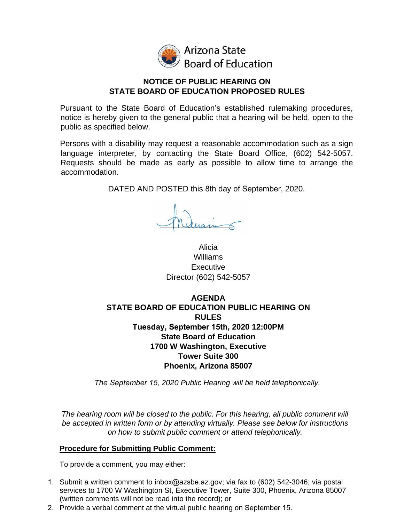

Arizona State **Board of Education** 

### **NOTICE OF PUBLIC HEARING ON STATE BOARD OF EDUCATION PROPOSED RULES**

Pursuant to the State Board of Education's established rulemaking procedures, notice is hereby given to the general public that a hearing will be held, open to the public as specified below.

Persons with a disability may request a reasonable accommodation such as a sign language interpreter, by contacting the State Board Office, (602) 542-5057. Requests should be made as early as possible to allow time to arrange the accommodation.

DATED AND POSTED this 8th day of September, 2020.

Alicia Williams Executive Director (602) 542-5057

# **AGENDA STATE BOARD OF EDUCATION PUBLIC HEARING ON RULES Tuesday, September 15th, 2020 12:00PM State Board of Education 1700 W Washington, Executive Tower Suite 300 Phoenix, Arizona 85007**

*The September 15, 2020 Public Hearing will be held telephonically.* 

The hearing room will be closed to the public. For this hearing, all public comment will *be accepted in written form or by attending virtually. Please see below for instructions on how to submit public comment or attend telephonically.*

## **Procedure for Submitting Public Comment:**

To provide a comment, you may either:

- 1. Submit a written comment to [inbox@azsbe.az.gov;](mailto:esafeedback@azsbe.az.gov) via fax to (602) 542-3046; via postal services to 1700 W Washington St, Executive Tower, Suite 300, Phoenix, Arizona 85007 (written comments will not be read into the record); or
- 2. Provide a verbal comment at the virtual public hearing on September 15.